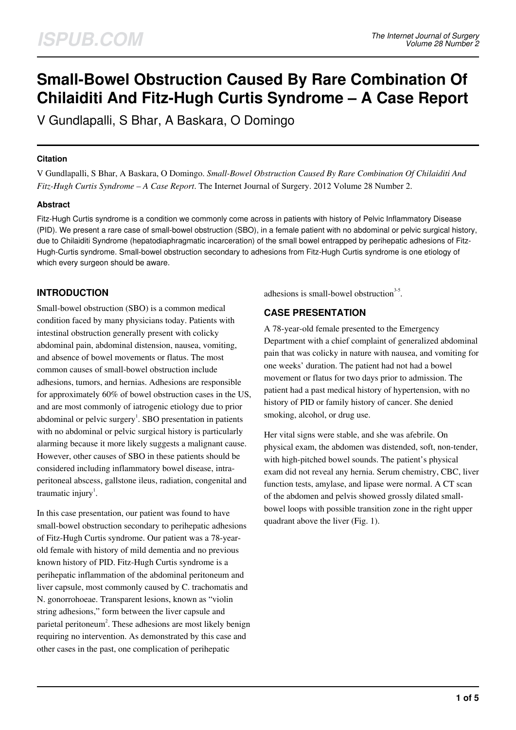# **Small-Bowel Obstruction Caused By Rare Combination Of Chilaiditi And Fitz-Hugh Curtis Syndrome – A Case Report**

V Gundlapalli, S Bhar, A Baskara, O Domingo

### **Citation**

V Gundlapalli, S Bhar, A Baskara, O Domingo. *Small-Bowel Obstruction Caused By Rare Combination Of Chilaiditi And Fitz-Hugh Curtis Syndrome – A Case Report*. The Internet Journal of Surgery. 2012 Volume 28 Number 2.

## **Abstract**

Fitz-Hugh Curtis syndrome is a condition we commonly come across in patients with history of Pelvic Inflammatory Disease (PID). We present a rare case of small-bowel obstruction (SBO), in a female patient with no abdominal or pelvic surgical history, due to Chilaiditi Syndrome (hepatodiaphragmatic incarceration) of the small bowel entrapped by perihepatic adhesions of Fitz-Hugh-Curtis syndrome. Small-bowel obstruction secondary to adhesions from Fitz-Hugh Curtis syndrome is one etiology of which every surgeon should be aware.

# **INTRODUCTION**

Small-bowel obstruction (SBO) is a common medical condition faced by many physicians today. Patients with intestinal obstruction generally present with colicky abdominal pain, abdominal distension, nausea, vomiting, and absence of bowel movements or flatus. The most common causes of small-bowel obstruction include adhesions, tumors, and hernias. Adhesions are responsible for approximately 60% of bowel obstruction cases in the US, and are most commonly of iatrogenic etiology due to prior abdominal or pelvic surgery<sup>1</sup>. SBO presentation in patients with no abdominal or pelvic surgical history is particularly alarming because it more likely suggests a malignant cause. However, other causes of SBO in these patients should be considered including inflammatory bowel disease, intraperitoneal abscess, gallstone ileus, radiation, congenital and traumatic injury<sup>1</sup>.

In this case presentation, our patient was found to have small-bowel obstruction secondary to perihepatic adhesions of Fitz-Hugh Curtis syndrome. Our patient was a 78-yearold female with history of mild dementia and no previous known history of PID. Fitz-Hugh Curtis syndrome is a perihepatic inflammation of the abdominal peritoneum and liver capsule, most commonly caused by C. trachomatis and N. gonorrohoeae. Transparent lesions, known as "violin string adhesions," form between the liver capsule and parietal peritoneum<sup>2</sup>. These adhesions are most likely benign requiring no intervention. As demonstrated by this case and other cases in the past, one complication of perihepatic

adhesions is small-bowel obstruction $3-5$ .

# **CASE PRESENTATION**

A 78-year-old female presented to the Emergency Department with a chief complaint of generalized abdominal pain that was colicky in nature with nausea, and vomiting for one weeks' duration. The patient had not had a bowel movement or flatus for two days prior to admission. The patient had a past medical history of hypertension, with no history of PID or family history of cancer. She denied smoking, alcohol, or drug use.

Her vital signs were stable, and she was afebrile. On physical exam, the abdomen was distended, soft, non-tender, with high-pitched bowel sounds. The patient's physical exam did not reveal any hernia. Serum chemistry, CBC, liver function tests, amylase, and lipase were normal. A CT scan of the abdomen and pelvis showed grossly dilated smallbowel loops with possible transition zone in the right upper quadrant above the liver (Fig. 1).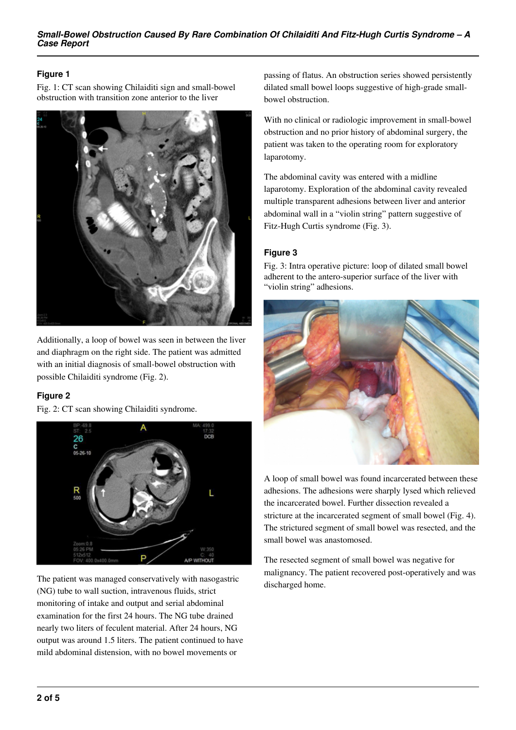## **Figure 1**

Fig. 1: CT scan showing Chilaiditi sign and small-bowel obstruction with transition zone anterior to the liver



Additionally, a loop of bowel was seen in between the liver and diaphragm on the right side. The patient was admitted with an initial diagnosis of small-bowel obstruction with possible Chilaiditi syndrome (Fig. 2).

## **Figure 2**

Fig. 2: CT scan showing Chilaiditi syndrome.



The patient was managed conservatively with nasogastric (NG) tube to wall suction, intravenous fluids, strict monitoring of intake and output and serial abdominal examination for the first 24 hours. The NG tube drained nearly two liters of feculent material. After 24 hours, NG output was around 1.5 liters. The patient continued to have mild abdominal distension, with no bowel movements or

passing of flatus. An obstruction series showed persistently dilated small bowel loops suggestive of high-grade smallbowel obstruction.

With no clinical or radiologic improvement in small-bowel obstruction and no prior history of abdominal surgery, the patient was taken to the operating room for exploratory laparotomy.

The abdominal cavity was entered with a midline laparotomy. Exploration of the abdominal cavity revealed multiple transparent adhesions between liver and anterior abdominal wall in a "violin string" pattern suggestive of Fitz-Hugh Curtis syndrome (Fig. 3).

# **Figure 3**

Fig. 3: Intra operative picture: loop of dilated small bowel adherent to the antero-superior surface of the liver with "violin string" adhesions.



A loop of small bowel was found incarcerated between these adhesions. The adhesions were sharply lysed which relieved the incarcerated bowel. Further dissection revealed a stricture at the incarcerated segment of small bowel (Fig. 4). The strictured segment of small bowel was resected, and the small bowel was anastomosed.

The resected segment of small bowel was negative for malignancy. The patient recovered post-operatively and was discharged home.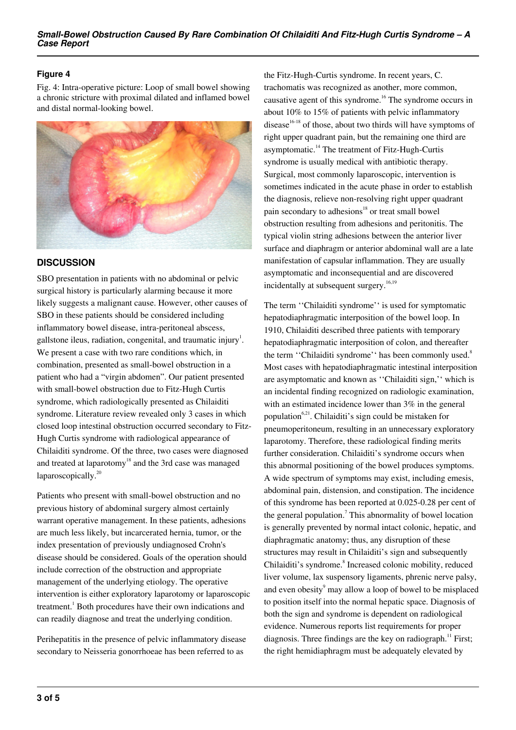### **Figure 4**

Fig. 4: Intra-operative picture: Loop of small bowel showing a chronic stricture with proximal dilated and inflamed bowel and distal normal-looking bowel.



# **DISCUSSION**

SBO presentation in patients with no abdominal or pelvic surgical history is particularly alarming because it more likely suggests a malignant cause. However, other causes of SBO in these patients should be considered including inflammatory bowel disease, intra-peritoneal abscess, gallstone ileus, radiation, congenital, and traumatic injury<sup>1</sup>. We present a case with two rare conditions which, in combination, presented as small-bowel obstruction in a patient who had a "virgin abdomen". Our patient presented with small-bowel obstruction due to Fitz-Hugh Curtis syndrome, which radiologically presented as Chilaiditi syndrome. Literature review revealed only 3 cases in which closed loop intestinal obstruction occurred secondary to Fitz-Hugh Curtis syndrome with radiological appearance of Chilaiditi syndrome. Of the three, two cases were diagnosed and treated at laparotomy<sup>18</sup> and the 3rd case was managed laparoscopically.<sup>20</sup>

Patients who present with small-bowel obstruction and no previous history of abdominal surgery almost certainly warrant operative management. In these patients, adhesions are much less likely, but incarcerated hernia, tumor, or the index presentation of previously undiagnosed Crohn's disease should be considered. Goals of the operation should include correction of the obstruction and appropriate management of the underlying etiology. The operative intervention is either exploratory laparotomy or laparoscopic treatment.<sup>1</sup> Both procedures have their own indications and can readily diagnose and treat the underlying condition.

Perihepatitis in the presence of pelvic inflammatory disease secondary to Neisseria gonorrhoeae has been referred to as

the Fitz-Hugh-Curtis syndrome. In recent years, C. trachomatis was recognized as another, more common, causative agent of this syndrome.<sup>16</sup> The syndrome occurs in about 10% to 15% of patients with pelvic inflammatory disease $16-18$  of those, about two thirds will have symptoms of right upper quadrant pain, but the remaining one third are asymptomatic.<sup>14</sup> The treatment of Fitz-Hugh-Curtis syndrome is usually medical with antibiotic therapy. Surgical, most commonly laparoscopic, intervention is sometimes indicated in the acute phase in order to establish the diagnosis, relieve non-resolving right upper quadrant pain secondary to adhesions $18$  or treat small bowel obstruction resulting from adhesions and peritonitis. The typical violin string adhesions between the anterior liver surface and diaphragm or anterior abdominal wall are a late manifestation of capsular inflammation. They are usually asymptomatic and inconsequential and are discovered incidentally at subsequent surgery.<sup>16,19</sup>

The term ''Chilaiditi syndrome'' is used for symptomatic hepatodiaphragmatic interposition of the bowel loop. In 1910, Chilaiditi described three patients with temporary hepatodiaphragmatic interposition of colon, and thereafter the term "Chilaiditi syndrome" has been commonly used.<sup>8</sup> Most cases with hepatodiaphragmatic intestinal interposition are asymptomatic and known as ''Chilaiditi sign,'' which is an incidental finding recognized on radiologic examination, with an estimated incidence lower than 3% in the general population<sup>6,21</sup>. Chilaiditi's sign could be mistaken for pneumoperitoneum, resulting in an unnecessary exploratory laparotomy. Therefore, these radiological finding merits further consideration. Chilaiditi's syndrome occurs when this abnormal positioning of the bowel produces symptoms. A wide spectrum of symptoms may exist, including emesis, abdominal pain, distension, and constipation. The incidence of this syndrome has been reported at 0.025-0.28 per cent of the general population.<sup>7</sup> This abnormality of bowel location is generally prevented by normal intact colonic, hepatic, and diaphragmatic anatomy; thus, any disruption of these structures may result in Chilaiditi's sign and subsequently Chilaiditi's syndrome.<sup>8</sup> Increased colonic mobility, reduced liver volume, lax suspensory ligaments, phrenic nerve palsy, and even obesity<sup>9</sup> may allow a loop of bowel to be misplaced to position itself into the normal hepatic space. Diagnosis of both the sign and syndrome is dependent on radiological evidence. Numerous reports list requirements for proper diagnosis. Three findings are the key on radiograph.<sup>11</sup> First; the right hemidiaphragm must be adequately elevated by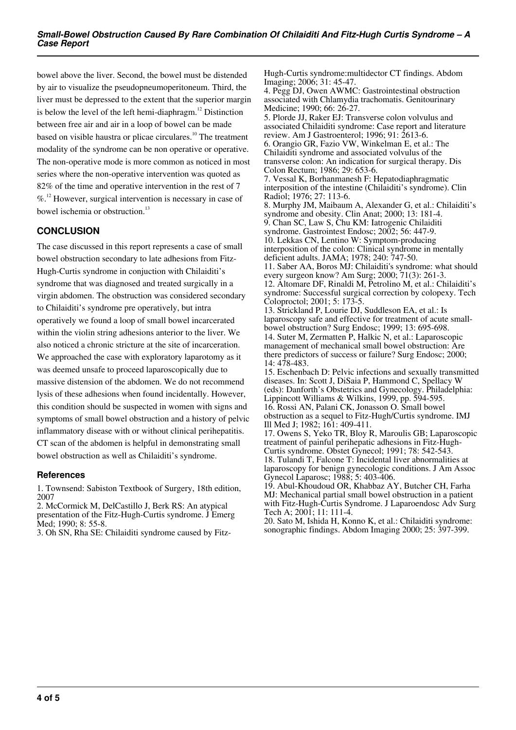bowel above the liver. Second, the bowel must be distended by air to visualize the pseudopneumoperitoneum. Third, the liver must be depressed to the extent that the superior margin is below the level of the left hemi-diaphragm.<sup>12</sup> Distinction between free air and air in a loop of bowel can be made based on visible haustra or plicae circulares.<sup>10</sup> The treatment modality of the syndrome can be non operative or operative. The non-operative mode is more common as noticed in most series where the non-operative intervention was quoted as 82% of the time and operative intervention in the rest of 7  $\%$ <sup>12</sup> However, surgical intervention is necessary in case of bowel ischemia or obstruction.<sup>13</sup>

## **CONCLUSION**

The case discussed in this report represents a case of small bowel obstruction secondary to late adhesions from Fitz-Hugh-Curtis syndrome in conjuction with Chilaiditi's syndrome that was diagnosed and treated surgically in a virgin abdomen. The obstruction was considered secondary to Chilaiditi's syndrome pre operatively, but intra operatively we found a loop of small bowel incarcerated within the violin string adhesions anterior to the liver. We also noticed a chronic stricture at the site of incarceration. We approached the case with exploratory laparotomy as it was deemed unsafe to proceed laparoscopically due to massive distension of the abdomen. We do not recommend lysis of these adhesions when found incidentally. However, this condition should be suspected in women with signs and symptoms of small bowel obstruction and a history of pelvic inflammatory disease with or without clinical perihepatitis. CT scan of the abdomen is helpful in demonstrating small bowel obstruction as well as Chilaiditi's syndrome.

#### **References**

1. Townsend: Sabiston Textbook of Surgery, 18th edition, 2007

2. McCormick M, DelCastillo J, Berk RS: An atypical presentation of the Fitz-Hugh-Curtis syndrome. J Emerg Med; 1990; 8: 55-8.

3. Oh SN, Rha SE: Chilaiditi syndrome caused by Fitz-

Hugh-Curtis syndrome:multidector CT findings. Abdom Imaging; 2006; 31: 45-47.

4. Pegg DJ, Owen AWMC: Gastrointestinal obstruction associated with Chlamydia trachomatis. Genitourinary Medicine; 1990; 66: 26-27.

5. Plorde JJ, Raker EJ: Transverse colon volvulus and associated Chilaiditi syndrome: Case report and literature review. Am J Gastroenterol; 1996; 91: 2613-6. 6. Orangio GR, Fazio VW, Winkelman E, et al.: The Chilaiditi syndrome and associated volvulus of the transverse colon: An indication for surgical therapy. Dis Colon Rectum; 1986; 29: 653-6.

7. Vessal K, Borhanmanesh F: Hepatodiaphragmatic interposition of the intestine (Chilaiditi's syndrome). Clin Radiol; 1976; 27: 113-6.

8. Murphy JM, Maibaum A, Alexander G, et al.: Chilaiditi's syndrome and obesity. Clin Anat; 2000; 13: 181-4. 9. Chan SC, Law S, Chu KM: Iatrogenic Chilaiditi syndrome. Gastrointest Endosc; 2002; 56: 447-9. 10. Lekkas CN, Lentino W: Symptom-producing interposition of the colon: Clinical syndrome in mentally deficient adults. JAMA; 1978; 240: 747-50.

11. Saber AA, Boros MJ: Chilaiditi's syndrome: what should every surgeon know? Am Surg; 2000; 71(3): 261-3. 12. Altomare DF, Rinaldi M, Petrolino M, et al.: Chilaiditi's syndrome: Successful surgical correction by colopexy. Tech Coloproctol; 2001; 5: 173-5.

13. Strickland P, Lourie DJ, Suddleson EA, et al.: Is laparoscopy safe and effective for treatment of acute smallbowel obstruction? Surg Endosc; 1999; 13: 695-698. 14. Suter M, Zermatten P, Halkic N, et al.: Laparoscopic management of mechanical small bowel obstruction: Are there predictors of success or failure? Surg Endosc; 2000; 14: 478-483.

15. Eschenbach D: Pelvic infections and sexually transmitted diseases. In: Scott J, DiSaia P, Hammond C, Spellacy W (eds): Danforth's Obstetrics and Gynecology. Philadelphia: Lippincott Williams & Wilkins, 1999, pp. 594-595. 16. Rossi AN, Palani CK, Jonasson O. Small bowel obstruction as a sequel to Fitz-Hugh/Curtis syndrome. IMJ Ill Med J; 1982; 161: 409-411.

17. Owens S, Yeko TR, Bloy R, Maroulis GB; Laparoscopic treatment of painful perihepatic adhesions in Fitz-Hugh-Curtis syndrome. Obstet Gynecol; 1991; 78: 542-543. 18. Tulandi T, Falcone T: Incidental liver abnormalities at

laparoscopy for benign gynecologic conditions. J Am Assoc Gynecol Laparosc; 1988; 5: 403-406.

19. Abul-Khoudoud OR, Khabbaz AY, Butcher CH, Farha MJ: Mechanical partial small bowel obstruction in a patient with Fitz-Hugh-Curtis Syndrome. J Laparoendosc Adv Surg Tech A; 2001; 11: 111-4.

20. Sato M, Ishida H, Konno K, et al.: Chilaiditi syndrome: sonographic findings. Abdom Imaging 2000; 25: 397-399.